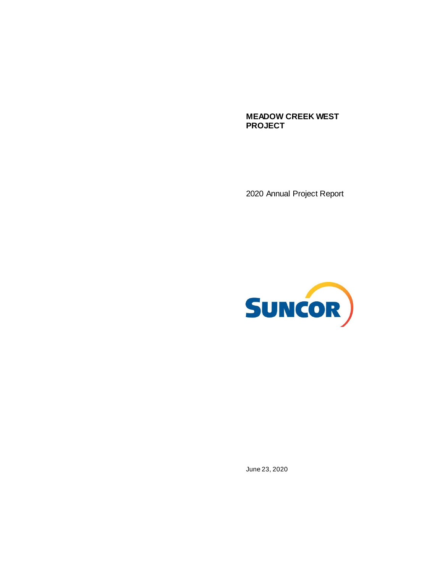**MEADOW CREEK WEST PROJECT**

2020 Annual Project Report



June 23, 2020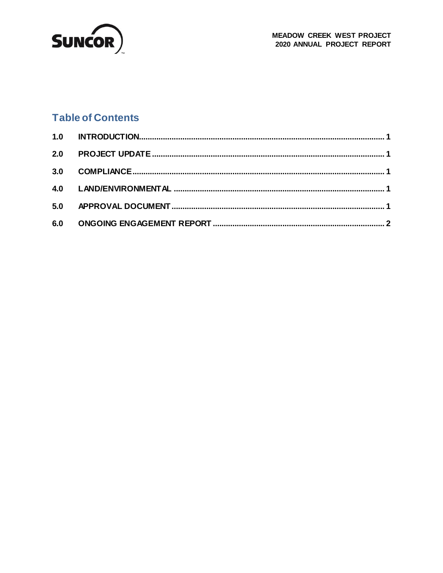

### **Table of Contents**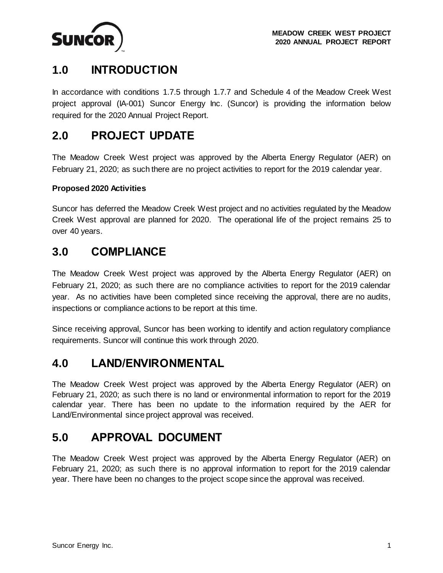<span id="page-2-5"></span>

# <span id="page-2-0"></span>**1.0 INTRODUCTION**

In accordance with conditions 1.7.5 through 1.7.7 and Schedule 4 of the Meadow Creek West project approval (IA-001) Suncor Energy Inc. (Suncor) is providing the information below required for the 2020 Annual Project Report.

# <span id="page-2-1"></span>**2.0 PROJECT UPDATE**

The Meadow Creek West project was approved by the Alberta Energy Regulator (AER) on February 21, 2020; as such there are no project activities to report for the 2019 calendar year.

#### **Proposed 2020 Activities**

Suncor has deferred the Meadow Creek West project and no activities regulated by the Meadow Creek West approval are planned for 2020. The operational life of the project remains 25 to over 40 years.

#### <span id="page-2-2"></span>**3.0 COMPLIANCE**

The Meadow Creek West project was approved by the Alberta Energy Regulator (AER) on February 21, 2020; as such there are no compliance activities to report for the 2019 calendar year. As no activities have been completed since receiving the approval, there are no audits, inspections or compliance actions to be report at this time.

Since receiving approval, Suncor has been working to identify and action regulatory compliance requirements. Suncor will continue this work through 2020.

#### <span id="page-2-3"></span>**4.0 LAND/ENVIRONMENTAL**

The Meadow Creek West project was approved by the Alberta Energy Regulator (AER) on February 21, 2020; as such there is no land or environmental information to report for the 2019 calendar year. There has been no update to the information required by the AER for Land/Environmental since project approval was received.

## <span id="page-2-4"></span>**5.0 APPROVAL DOCUMENT**

The Meadow Creek West project was approved by the Alberta Energy Regulator (AER) on February 21, 2020; as such there is no approval information to report for the 2019 calendar year. There have been no changes to the project scope since the approval was received.